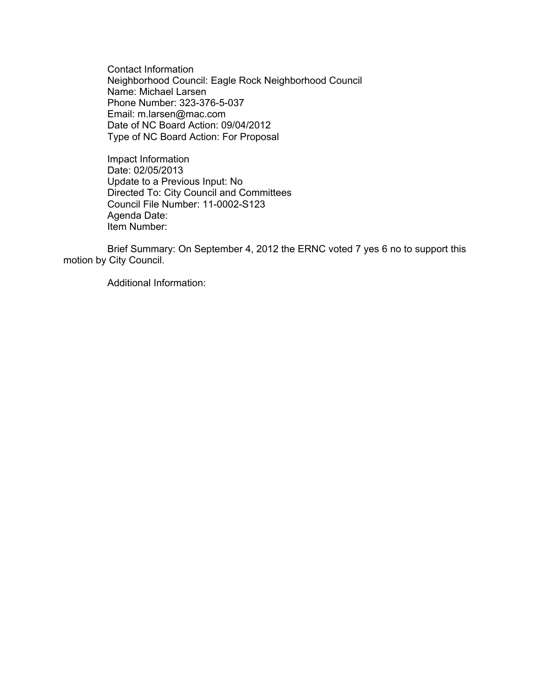Contact Information Neighborhood Council: Eagle Rock Neighborhood Council Name: Michael Larsen Phone Number: 323-376-5-037 Email: m.larsen@mac.com Date of NC Board Action: 09/04/2012 Type of NC Board Action: For Proposal

Impact Information Date: 02/05/2013 Update to a Previous Input: No Directed To: City Council and Committees Council File Number: 11-0002-S123 Agenda Date: Item Number:

Brief Summary: On September 4, 2012 the ERNC voted 7 yes 6 no to support this motion by City Council.

Additional Information: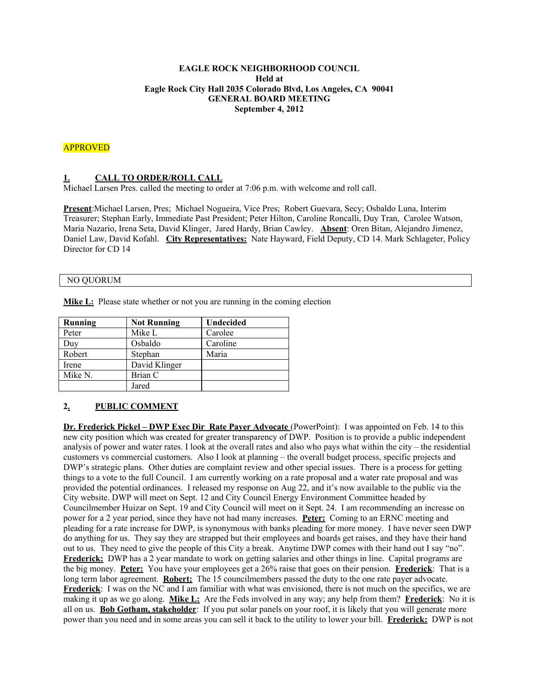#### **EAGLE ROCK NEIGHBORHOOD COUNCIL Held at Eagle Rock City Hall 2035 Colorado Blvd, Los Angeles, CA 90041 GENERAL BOARD MEETING September 4, 2012**

## APPROVED

### **1. CALL TO ORDER/ROLL CALL**

Michael Larsen Pres. called the meeting to order at 7:06 p.m. with welcome and roll call.

**Present**:Michael Larsen, Pres; Michael Nogueira, Vice Pres; Robert Guevara, Secy; Osbaldo Luna, Interim Treasurer; Stephan Early, Immediate Past President; Peter Hilton, Caroline Roncalli, Duy Tran, Carolee Watson, Maria Nazario, Irena Seta, David Klinger, Jared Hardy, Brian Cawley. **Absent**: Oren Bitan, Alejandro Jimenez, Daniel Law, David Kofahl. **City Representatives:** Nate Hayward, Field Deputy, CD 14. Mark Schlageter, Policy Director for CD 14

#### NO QUORUM

**Mike L:** Please state whether or not you are running in the coming election

| Running | <b>Not Running</b> | <b>Undecided</b> |
|---------|--------------------|------------------|
| Peter   | Mike L             | Carolee          |
| Duy     | Osbaldo            | Caroline         |
| Robert  | Stephan            | Maria            |
| Irene   | David Klinger      |                  |
| Mike N. | Brian C            |                  |
|         | Jared              |                  |

# **2. PUBLIC COMMENT**

**Dr. Frederick Pickel – DWP Exec Dir Rate Payer Advocate** (PowerPoint): I was appointed on Feb. 14 to this new city position which was created for greater transparency of DWP. Position is to provide a public independent analysis of power and water rates. I look at the overall rates and also who pays what within the city – the residential customers vs commercial customers. Also I look at planning – the overall budget process, specific projects and DWP's strategic plans. Other duties are complaint review and other special issues. There is a process for getting things to a vote to the full Council. I am currently working on a rate proposal and a water rate proposal and was provided the potential ordinances. I released my response on Aug 22, and it's now available to the public via the City website. DWP will meet on Sept. 12 and City Council Energy Environment Committee headed by Councilmember Huizar on Sept. 19 and City Council will meet on it Sept. 24. I am recommending an increase on power for a 2 year period, since they have not had many increases. **Peter:** Coming to an ERNC meeting and pleading for a rate increase for DWP, is synonymous with banks pleading for more money. I have never seen DWP do anything for us. They say they are strapped but their employees and boards get raises, and they have their hand out to us. They need to give the people of this City a break. Anytime DWP comes with their hand out I say "no". **Frederick:** DWP has a 2 year mandate to work on getting salaries and other things in line. Capital programs are the big money. **Peter:** You have your employees get a 26% raise that goes on their pension. **Frederick**: That is a long term labor agreement. **Robert:** The 15 councilmembers passed the duty to the one rate payer advocate. **Frederick**: I was on the NC and I am familiar with what was envisioned, there is not much on the specifics, we are making it up as we go along. **Mike L:** Are the Feds involved in any way; any help from them? **Frederick**: No it is all on us. **Bob Gotham, stakeholder**: If you put solar panels on your roof, it is likely that you will generate more power than you need and in some areas you can sell it back to the utility to lower your bill. **Frederick:** DWP is not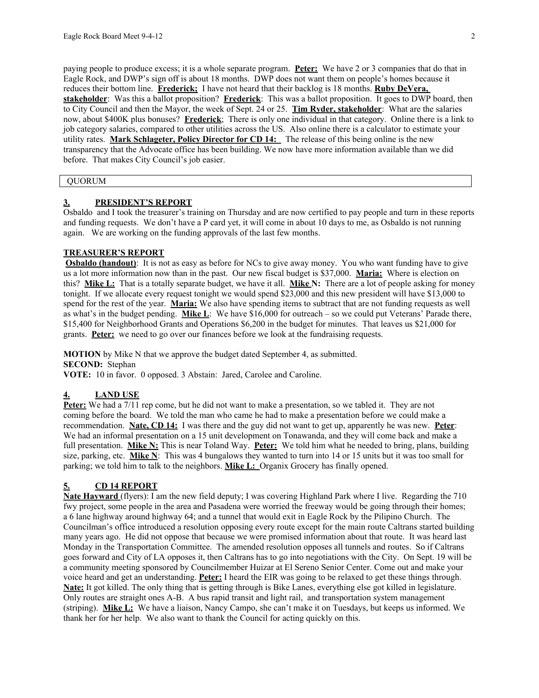paying people to produce excess; it is a whole separate program. **Peter:** We have 2 or 3 companies that do that in Eagle Rock, and DWP's sign off is about 18 months. DWP does not want them on people's homes because it reduces their bottom line. **Frederick;** I have not heard that their backlog is 18 months. **Ruby DeVera, stakeholder**: Was this a ballot proposition? **Frederick**: This was a ballot proposition. It goes to DWP board, then to City Council and then the Mayor, the week of Sept. 24 or 25. **Tim Ryder, stakeholder**: What are the salaries now, about \$400K plus bonuses? **Frederick**; There is only one individual in that category. Online there is a link to job category salaries, compared to other utilities across the US. Also online there is a calculator to estimate your utility rates. **Mark Schlageter, Policy Director for CD 14:** The release of this being online is the new transparency that the Advocate office has been building. We now have more information available than we did before. That makes City Council's job easier.

# QUORUM

#### **3. PRESIDENT'S REPORT**

Osbaldo and I took the treasurer's training on Thursday and are now certified to pay people and turn in these reports and funding requests. We don't have a P card yet, it will come in about 10 days to me, as Osbaldo is not running again. We are working on the funding approvals of the last few months.

### **TREASURER'S REPORT**

**Osbaldo (handout)**: It is not as easy as before for NCs to give away money. You who want funding have to give us a lot more information now than in the past. Our new fiscal budget is \$37,000. **Maria:** Where is election on this? **Mike L:** That is a totally separate budget, we have it all. **Mike N:** There are a lot of people asking for money tonight. If we allocate every request tonight we would spend \$23,000 and this new president will have \$13,000 to spend for the rest of the year. **Maria:** We also have spending items to subtract that are not funding requests as well as what's in the budget pending. **Mike L**: We have \$16,000 for outreach – so we could put Veterans' Parade there, \$15,400 for Neighborhood Grants and Operations \$6,200 in the budget for minutes. That leaves us \$21,000 for grants. **Peter:** we need to go over our finances before we look at the fundraising requests.

**MOTION** by Mike N that we approve the budget dated September 4, as submitted. **SECOND:** Stephan

**VOTE:** 10 in favor. 0 opposed. 3 Abstain: Jared, Carolee and Caroline.

### **4. LAND USE**

**Peter:** We had a 7/11 rep come, but he did not want to make a presentation, so we tabled it. They are not coming before the board. We told the man who came he had to make a presentation before we could make a recommendation. **Nate, CD 14:** I was there and the guy did not want to get up, apparently he was new. **Peter**: We had an informal presentation on a 15 unit development on Tonawanda, and they will come back and make a full presentation. **Mike N:** This is near Toland Way. **Peter:** We told him what he needed to bring, plans, building size, parking, etc. **Mike N**: This was 4 bungalows they wanted to turn into 14 or 15 units but it was too small for parking; we told him to talk to the neighbors. **Mike L:** Organix Grocery has finally opened.

### **5. CD 14 REPORT**

**Nate Hayward** (flyers): I am the new field deputy; I was covering Highland Park where I live. Regarding the 710 fwy project, some people in the area and Pasadena were worried the freeway would be going through their homes; a 6 lane highway around highway 64; and a tunnel that would exit in Eagle Rock by the Pilipino Church. The Councilman's office introduced a resolution opposing every route except for the main route Caltrans started building many years ago. He did not oppose that because we were promised information about that route. It was heard last Monday in the Transportation Committee. The amended resolution opposes all tunnels and routes. So if Caltrans goes forward and City of LA opposes it, then Caltrans has to go into negotiations with the City. On Sept. 19 will be a community meeting sponsored by Councilmember Huizar at El Sereno Senior Center. Come out and make your voice heard and get an understanding. **Peter:** I heard the EIR was going to be relaxed to get these things through. **Nate:** It got killed. The only thing that is getting through is Bike Lanes, everything else got killed in legislature. Only routes are straight ones A-B. A bus rapid transit and light rail, and transportation system management (striping). **Mike L:** We have a liaison, Nancy Campo, she can't make it on Tuesdays, but keeps us informed. We thank her for her help. We also want to thank the Council for acting quickly on this.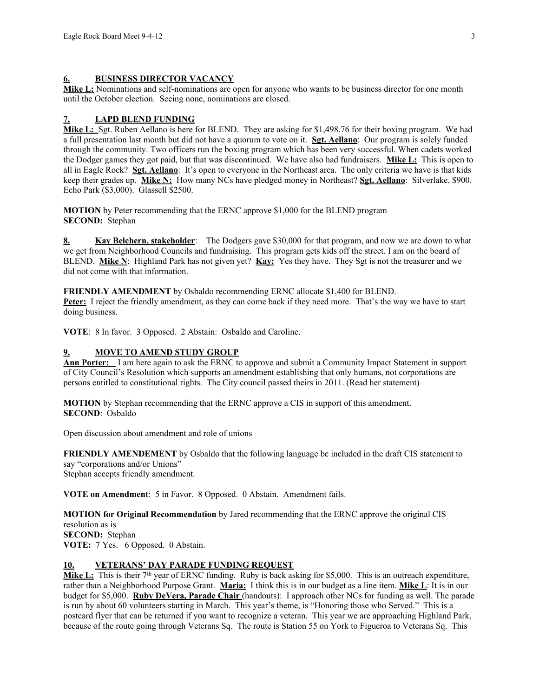#### **6. BUSINESS DIRECTOR VACANCY**

**Mike L:** Nominations and self-nominations are open for anyone who wants to be business director for one month until the October election. Seeing none, nominations are closed.

## **7. LAPD BLEND FUNDING**

**Mike L:** Sgt. Ruben Aellano is here for BLEND. They are asking for \$1,498.76 for their boxing program. We had a full presentation last month but did not have a quorum to vote on it. **Sgt. Aellano**: Our program is solely funded through the community. Two officers run the boxing program which has been very successful. When cadets worked the Dodger games they got paid, but that was discontinued. We have also had fundraisers. **Mike L:** This is open to all in Eagle Rock? **Sgt. Aellano**: It's open to everyone in the Northeast area. The only criteria we have is that kids keep their grades up. **Mike N:** How many NCs have pledged money in Northeast? **Sgt. Aellano**: Silverlake, \$900. Echo Park (\$3,000). Glassell \$2500.

**MOTION** by Peter recommending that the ERNC approve \$1,000 for the BLEND program **SECOND:** Stephan

**8. Kay Belchern, stakeholder**: The Dodgers gave \$30,000 for that program, and now we are down to what we get from Neighborhood Councils and fundraising. This program gets kids off the street. I am on the board of BLEND. **Mike N**: Highland Park has not given yet? **Kay:** Yes they have. They Sgt is not the treasurer and we did not come with that information.

**FRIENDLY AMENDMENT** by Osbaldo recommending ERNC allocate \$1,400 for BLEND. **Peter:** I reject the friendly amendment, as they can come back if they need more. That's the way we have to start doing business.

**VOTE**: 8 In favor. 3 Opposed. 2 Abstain: Osbaldo and Caroline.

### **9. MOVE TO AMEND STUDY GROUP**

**Ann Porter:** I am here again to ask the ERNC to approve and submit a Community Impact Statement in support of City Council's Resolution which supports an amendment establishing that only humans, not corporations are persons entitled to constitutional rights. The City council passed theirs in 2011. (Read her statement)

**MOTION** by Stephan recommending that the ERNC approve a CIS in support of this amendment. **SECOND**: Osbaldo

Open discussion about amendment and role of unions

**FRIENDLY AMENDEMENT** by Osbaldo that the following language be included in the draft CIS statement to say "corporations and/or Unions" Stephan accepts friendly amendment.

**VOTE on Amendment**: 5 in Favor. 8 Opposed. 0 Abstain. Amendment fails.

**MOTION for Original Recommendation** by Jared recommending that the ERNC approve the original CIS resolution as is **SECOND:** Stephan **VOTE:** 7 Yes. 6 Opposed. 0 Abstain.

### **10. VETERANS' DAY PARADE FUNDING REQUEST**

**Mike L:** This is their 7<sup>th</sup> year of ERNC funding. Ruby is back asking for \$5,000. This is an outreach expenditure, rather than a Neighborhood Purpose Grant. **Maria:** I think this is in our budget as a line item. **Mike L**: It is in our budget for \$5,000. **Ruby DeVera, Parade Chair** (handouts): I approach other NCs for funding as well. The parade is run by about 60 volunteers starting in March. This year's theme, is "Honoring those who Served." This is a postcard flyer that can be returned if you want to recognize a veteran. This year we are approaching Highland Park, because of the route going through Veterans Sq. The route is Station 55 on York to Figueroa to Veterans Sq. This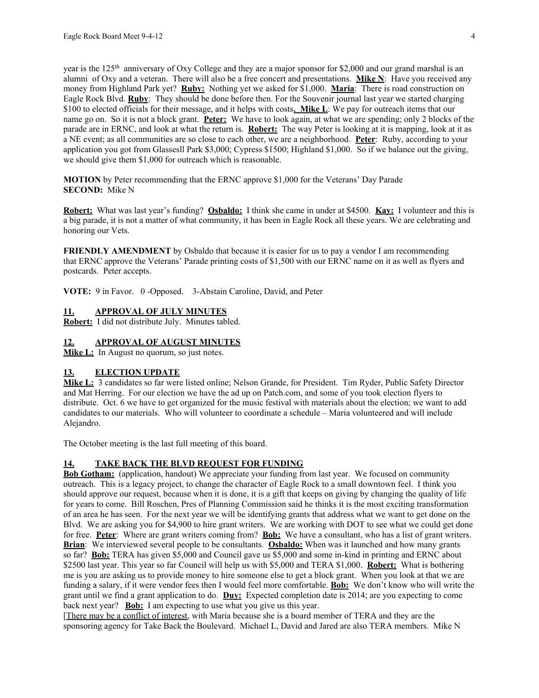year is the 125<sup>th</sup> anniversary of Oxy College and they are a major sponsor for \$2,000 and our grand marshal is an alumni of Oxy and a veteran. There will also be a free concert and presentations. **Mike N**: Have you received any money from Highland Park yet? **Ruby:** Nothing yet we asked for \$1,000. **Maria**: There is road construction on Eagle Rock Blvd. **Ruby**: They should be done before then. For the Souvenir journal last year we started charging \$100 to elected officials for their message, and it helps with costs**. Mike L**: We pay for outreach items that our name go on. So it is not a block grant. **Peter:** We have to look again, at what we are spending; only 2 blocks of the parade are in ERNC, and look at what the return is. **Robert:** The way Peter is looking at it is mapping, look at it as a NE event; as all communities are so close to each other, we are a neighborhood. **Peter**: Ruby, according to your application you got from Glassesll Park \$3,000; Cypress \$1500; Highland \$1,000. So if we balance out the giving, we should give them \$1,000 for outreach which is reasonable.

**MOTION** by Peter recommending that the ERNC approve \$1,000 for the Veterans' Day Parade **SECOND:** Mike N

**Robert:** What was last year's funding? **Osbaldo:** I think she came in under at \$4500. **Kay:** I volunteer and this is a big parade, it is not a matter of what community, it has been in Eagle Rock all these years. We are celebrating and honoring our Vets.

**FRIENDLY AMENDMENT** by Osbaldo that because it is easier for us to pay a vendor I am recommending that ERNC approve the Veterans' Parade printing costs of \$1,500 with our ERNC name on it as well as flyers and postcards. Peter accepts.

**VOTE:** 9 in Favor. 0 -Opposed. 3-Abstain Caroline, David, and Peter

#### **11. APPROVAL OF JULY MINUTES**

**Robert:** I did not distribute July. Minutes tabled.

#### **12. APPROVAL OF AUGUST MINUTES**

**Mike L:** In August no quorum, so just notes.

#### **13. ELECTION UPDATE**

**Mike L:** 3 candidates so far were listed online; Nelson Grande, for President. Tim Ryder, Public Safety Director and Mat Herring. For our election we have the ad up on Patch.com, and some of you took election flyers to distribute. Oct. 6 we have to get organized for the music festival with materials about the election; we want to add candidates to our materials. Who will volunteer to coordinate a schedule – Maria volunteered and will include Alejandro.

The October meeting is the last full meeting of this board.

## **14. TAKE BACK THE BLVD REQUEST FOR FUNDING**

**Bob Gotham:** (application, handout) We appreciate your funding from last year. We focused on community outreach. This is a legacy project, to change the character of Eagle Rock to a small downtown feel. I think you should approve our request, because when it is done, it is a gift that keeps on giving by changing the quality of life for years to come. Bill Roschen, Pres of Planning Commission said he thinks it is the most exciting transformation of an area he has seen. For the next year we will be identifying grants that address what we want to get done on the Blvd. We are asking you for \$4,900 to hire grant writers. We are working with DOT to see what we could get done for free. **Peter**: Where are grant writers coming from? **Bob:** We have a consultant, who has a list of grant writers. **Brian**: We interviewed several people to be consultants. **Osbaldo:** When was it launched and how many grants so far? **Bob:** TERA has given \$5,000 and Council gave us \$5,000 and some in-kind in printing and ERNC about \$2500 last year. This year so far Council will help us with \$5,000 and TERA \$1,000. **Robert:** What is bothering me is you are asking us to provide money to hire someone else to get a block grant. When you look at that we are funding a salary, if it were vendor fees then I would feel more comfortable. **Bob:** We don't know who will write the grant until we find a grant application to do. **Duy:** Expected completion date is 2014; are you expecting to come back next year? **Bob:** I am expecting to use what you give us this year.

[There may be a conflict of interest, with Maria because she is a board member of TERA and they are the sponsoring agency for Take Back the Boulevard. Michael L, David and Jared are also TERA members. Mike N